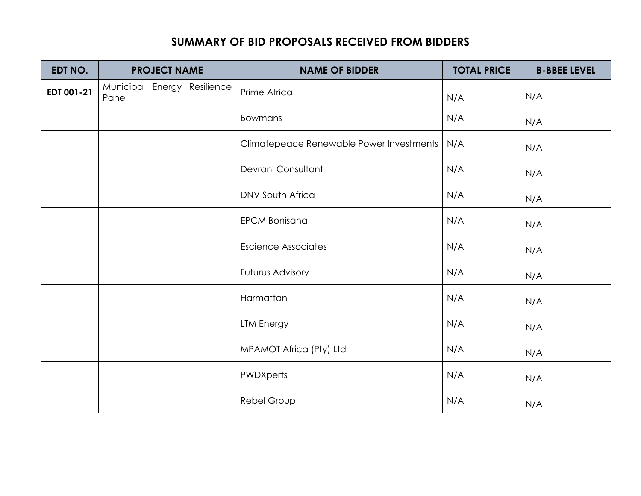## **SUMMARY OF BID PROPOSALS RECEIVED FROM BIDDERS**

| EDT NO.    | <b>PROJECT NAME</b>                  | <b>NAME OF BIDDER</b>                    | <b>TOTAL PRICE</b> | <b>B-BBEE LEVEL</b> |
|------------|--------------------------------------|------------------------------------------|--------------------|---------------------|
| EDT 001-21 | Municipal Energy Resilience<br>Panel | Prime Africa                             | N/A                | N/A                 |
|            |                                      | <b>Bowmans</b>                           | N/A                | N/A                 |
|            |                                      | Climatepeace Renewable Power Investments | N/A                | N/A                 |
|            |                                      | Devrani Consultant                       | N/A                | N/A                 |
|            |                                      | <b>DNV South Africa</b>                  | N/A                | N/A                 |
|            |                                      | <b>EPCM Bonisana</b>                     | N/A                | N/A                 |
|            |                                      | <b>Escience Associates</b>               | N/A                | N/A                 |
|            |                                      | Futurus Advisory                         | N/A                | N/A                 |
|            |                                      | Harmattan                                | N/A                | N/A                 |
|            |                                      | <b>LTM Energy</b>                        | N/A                | N/A                 |
|            |                                      | MPAMOT Africa (Pty) Ltd                  | N/A                | N/A                 |
|            |                                      | <b>PWDXperts</b>                         | N/A                | N/A                 |
|            |                                      | Rebel Group                              | N/A                | N/A                 |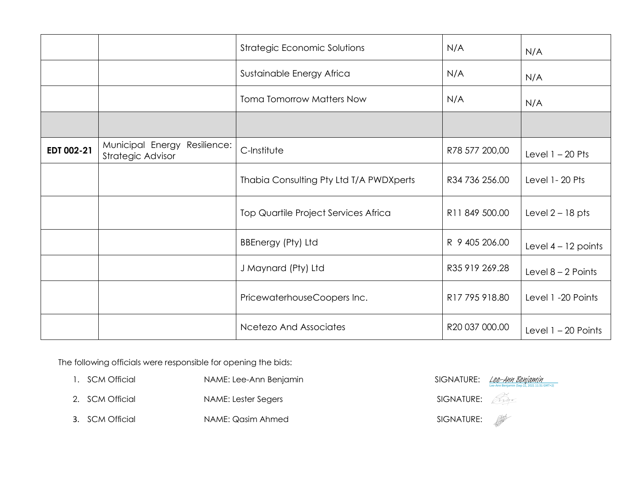|            |                                                      | Strategic Economic Solutions                | N/A            | N/A                   |
|------------|------------------------------------------------------|---------------------------------------------|----------------|-----------------------|
|            |                                                      | Sustainable Energy Africa                   | N/A            | N/A                   |
|            |                                                      | <b>Toma Tomorrow Matters Now</b>            | N/A            | N/A                   |
|            |                                                      |                                             |                |                       |
| EDT 002-21 | Municipal Energy<br>Resilience:<br>Strategic Advisor | C-Institute                                 | R78 577 200,00 | Level $1 - 20$ Pts    |
|            |                                                      | Thabia Consulting Pty Ltd T/A PWDXperts     | R34 736 256.00 | Level 1-20 Pts        |
|            |                                                      | <b>Top Quartile Project Services Africa</b> | R11 849 500.00 | Level $2 - 18$ pts    |
|            |                                                      | BBEnergy (Pty) Ltd                          | R 9 405 206.00 | Level $4 - 12$ points |
|            |                                                      | J Maynard (Pty) Ltd                         | R35 919 269.28 | Level $8 - 2$ Points  |
|            |                                                      | PricewaterhouseCoopers Inc.                 | R17 795 918.80 | Level 1 -20 Points    |
|            |                                                      | <b>Ncetezo And Associates</b>               | R20 037 000.00 | Level $1 - 20$ Points |

The following officials were responsible for opening the bids:

- 1. SCM Official NAME: Lee-Ann Benjamin
- 2. SCM Official NAME: Lester Segers
- 3. SCM Official NAME: Qasim Ahmed

| SIGNATURE: | <u> Lee-Ann Benjamin</u><br>Lee-Ann Benjamin (Sep 22, 2021 11:51 GMT+2) |
|------------|-------------------------------------------------------------------------|
| SIGNATURE: |                                                                         |
| SIGNATURE: |                                                                         |